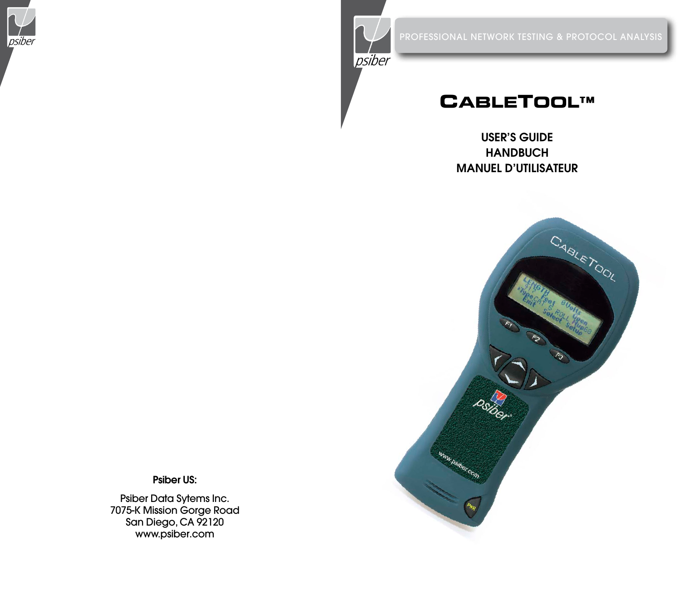



# **CABLETOOL™**

# USER'S GUIDE **HANDBUCH** Manuel d'utilisateur



Psiber US:

Psiber Data Sytems Inc. 7075-K Mission Gorge Road San Diego, CA 92120 www.psiber.com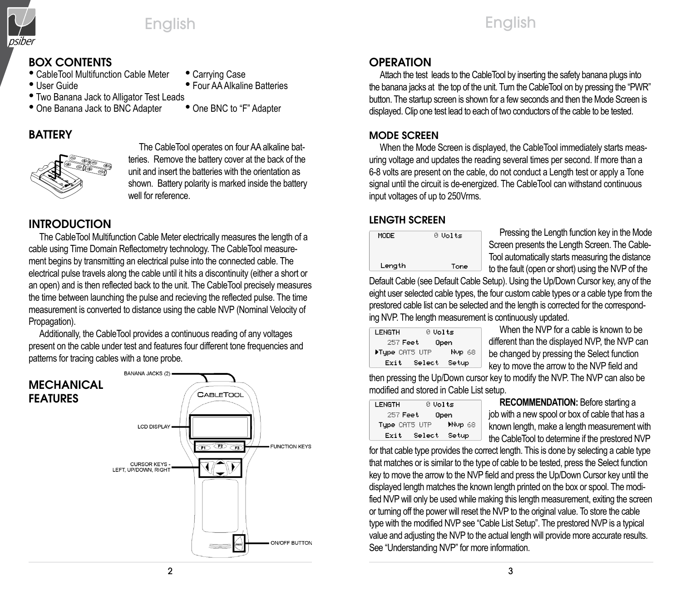

# BOX CONTENTS

- CableTool Multifunction Cable Meter Carrying Case
- 
- Four AA Alkaline Batteries
- Two Banana Jack to Alligator Test Leads<br>• One Banana Jack to BNC Adapter One BNC to "F" Adapter
- One Banana Jack to BNC Adapter

# **BATTERY**



The CableTool operates on four AA alkaline batteries. Remove the battery cover at the back of the unit and insert the batteries with the orientation as shown. Battery polarity is marked inside the battery well for reference.

# INTRODUCTION

The CableTool Multifunction Cable Meter electrically measures the length of a cable using Time Domain Reflectometry technology. The CableTool measurement begins by transmitting an electrical pulse into the connected cable. The electrical pulse travels along the cable until it hits a discontinuity (either a short or an open) and is then reflected back to the unit. The CableTool precisely measures the time between launching the pulse and recieving the reflected pulse. The time measurement is converted to distance using the cable NVP (Nominal Velocity of Propagation).

Additionally, the CableTool provides a continuous reading of any voltages present on the cable under test and features four different tone frequencies and patterns for tracing cables with a tone probe.



# **OPERATION**

Attach the test leads to the CableTool by inserting the safety banana plugs into the banana jacks at the top of the unit. Turn the CableTool on by pressing the "PWR" button. The startup screen is shown for a few seconds and then the Mode Screen is displayed. Clip one test lead to each of two conductors of the cable to be tested.

English

### MODE SCREEN

When the Mode Screen is displayed, the CableTool immediately starts measuring voltage and updates the reading several times per second. If more than a 6-8 volts are present on the cable, do not conduct a Length test or apply a Tone signal until the circuit is de-energized. The CableTool can withstand continuous input voltages of up to 250Vrms.

# LENGTH SCREEN

| MODE   | 0 Volts |
|--------|---------|
| Length | Tone    |

Pressing the Length function key in the Mode Screen presents the Length Screen. The Cable-Tool automatically starts measuring the distance to the fault (open or short) using the NVP of the

Default Cable (see Default Cable Setup). Using the Up/Down Cursor key, any of the eight user selected cable types, the four custom cable types or a cable type from the prestored cable list can be selected and the length is corrected for the corresponding NVP. The length measurement is continuously updated.

| LENGTH         | 0 Volts |                   |
|----------------|---------|-------------------|
| 257 Feet       |         | 0pen              |
| Figpe CATS UTP |         | Nyp <sub>68</sub> |
| Exit           | Select  | Setup             |

When the NVP for a cable is known to be different than the displayed NVP, the NVP can be changed by pressing the Select function key to move the arrow to the NVP field and

then pressing the Up/Down cursor key to modify the NVP. The NVP can also be modified and stored in Cable List setup.

| LENGTH                  | 0 Volts |        |
|-------------------------|---------|--------|
| 257 Feet<br><b>Open</b> |         |        |
| Type CRT5 UTP           |         | Mup 68 |
| Exit                    | Select  | Setup  |

**RECOMMENDATION:** Before starting a job with a new spool or box of cable that has a known length, make a length measurement with the CableTool to determine if the prestored NVP

for that cable type provides the correct length. This is done by selecting a cable type that matches or is similar to the type of cable to be tested, press the Select function key to move the arrow to the NVP field and press the Up/Down Cursor key until the displayed length matches the known length printed on the box or spool. The modified NVP will only be used while making this length measurement, exiting the screen or turning off the power will reset the NVP to the original value. To store the cable type with the modified NVP see "Cable List Setup". The prestored NVP is a typical value and adjusting the NVP to the actual length will provide more accurate results. See "Understanding NVP" for more information.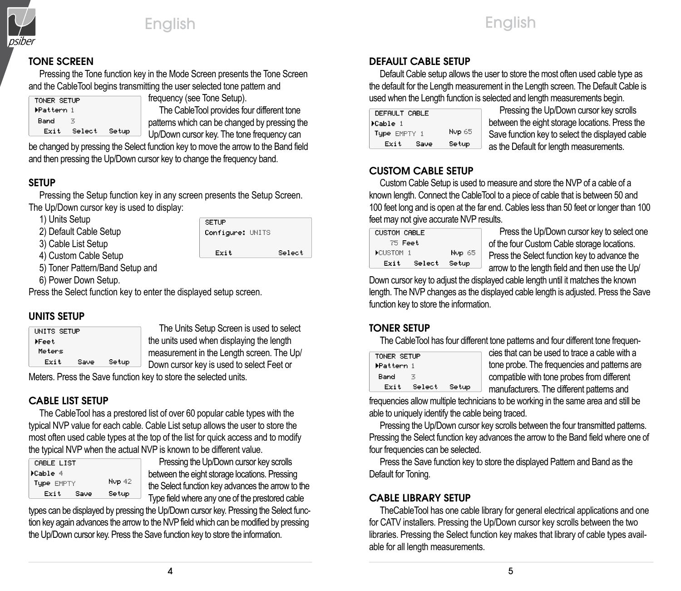

## TONE SCREEN

Pressing the Tone function key in the Mode Screen presents the Tone Screen and the CableTool begins transmitting the user selected tone pattern and frequency (see Tone Setup).

| TONER SETUP |        |       |
|-------------|--------|-------|
| ▶Pattern 1  |        |       |
| Band        | 苦      |       |
| Exit        | Select | Setup |

The CableTool provides four different tone patterns which can be changed by pressing the Up/Down cursor key. The tone frequency can

be changed by pressing the Select function key to move the arrow to the Band field and then pressing the Up/Down cursor key to change the frequency band.

# SETUP

Pressing the Setup function key in any screen presents the Setup Screen. The Up/Down cursor key is used to display:

1) Units Setup

2) Default Cable Setup

3) Cable List Setup 4) Custom Cable Setup

| <b>SETUP</b><br>Configure: UNITS |        |
|----------------------------------|--------|
| Exit                             | Select |

5) Toner Pattern/Band Setup and

6) Power Down Setup.

Press the Select function key to enter the displayed setup screen.

# UNITS SETUP

| UNITS SETUP |      |       |  |
|-------------|------|-------|--|
| ⊁Feet       |      |       |  |
| Meters      |      |       |  |
| Exit        | Save | Setup |  |
|             |      |       |  |

The Units Setup Screen is used to select the units used when displaying the length measurement in the Length screen. The Up/ Down cursor key is used to select Feet or

Meters. Press the Save function key to store the selected units.

# CABLE LIST SETUP

The CableTool has a prestored list of over 60 popular cable types with the typical NVP value for each cable. Cable List setup allows the user to store the most often used cable types at the top of the list for quick access and to modify the typical NVP when the actual NVP is known to be different value.

| CABLE LIST |      |        |
|------------|------|--------|
| ≯Cable 4   |      |        |
| Tupe EMPTY |      | Nup 42 |
| Exit       | Save | Setup  |

Pressing the Up/Down cursor key scrolls between the eight storage locations. Pressing the Select function key advances the arrow to the Type field where any one of the prestored cable

types can be displayed by pressing the Up/Down cursor key. Pressing the Select function key again advances the arrow to the NVP field which can be modified by pressing the Up/Down cursor key. Press the Save function key to store the information.

# DEFAULT CABLE SETUP

Default Cable setup allows the user to store the most often used cable type as the default for the Length measurement in the Length screen. The Default Cable is used when the Length function is selected and length measurements begin.

English

| DEFAULT CABLE |        | Pres     |
|---------------|--------|----------|
| ⊁Cable i      |        | betweer  |
| Tupe EMPTY 1  | Nup 65 | Save fu  |
| Exit<br>Save  | Setup  | as the D |

ssing the Up/Down cursor key scrolls n the eight storage locations. Press the Inction key to select the displayed cable **Default for length measurements.** 

# CUSTOM CABLE SETUP

Custom Cable Setup is used to measure and store the NVP of a cable of a known length. Connect the CableTool to a piece of cable that is between 50 and 100 feet long and is open at the far end. Cables less than 50 feet or longer than 100 feet may not give accurate NVP results.

| <b>CUSTOM CABLE</b> |        |  |
|---------------------|--------|--|
| 75 Feet             |        |  |
| CUSTOM 1            | Nup 65 |  |
| Select<br>Exit      | Setup  |  |

Press the Up/Down cursor key to select one of the four Custom Cable storage locations. Press the Select function key to advance the arrow to the length field and then use the Up/

Down cursor key to adjust the displayed cable length until it matches the known length. The NVP changes as the displayed cable length is adjusted. Press the Save function key to store the information.

# TONER SETUP

The CableTool has four different tone patterns and four different tone frequen-

| TONER SETUP |        |       |
|-------------|--------|-------|
| ▶Pattern 1  |        |       |
| Band        | z.     |       |
| Exit        | Select | Setup |

cies that can be used to trace a cable with a tone probe. The frequencies and patterns are compatible with tone probes from different manufacturers. The different patterns and

frequencies allow multiple technicians to be working in the same area and still be able to uniquely identify the cable being traced.

Pressing the Up/Down cursor key scrolls between the four transmitted patterns. Pressing the Select function key advances the arrow to the Band field where one of four frequencies can be selected.

Press the Save function key to store the displayed Pattern and Band as the Default for Toning.

# CABLE LIBRARY SETUP

TheCableTool has one cable library for general electrical applications and one for CATV installers. Pressing the Up/Down cursor key scrolls between the two libraries. Pressing the Select function key makes that library of cable types available for all length measurements.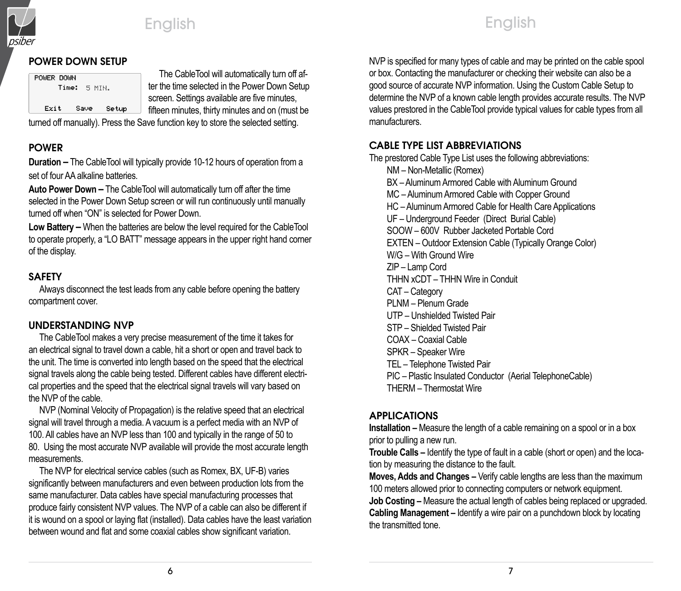

#### POWER DOWN SETUP

| POWER DOWN | Time: 5 MTN. |       |  |
|------------|--------------|-------|--|
| Exit       | Saue         | Setup |  |
|            |              |       |  |

The CableTool will automatically turn off after the time selected in the Power Down Setup screen. Settings available are five minutes, fifteen minutes, thirty minutes and on (must be

turned off manually). Press the Save function key to store the selected setting.

### POWER

**Duration –** The CableTool will typically provide 10-12 hours of operation from a set of four AA alkaline batteries.

**Auto Power Down –** The CableTool will automatically turn off after the time selected in the Power Down Setup screen or will run continuously until manually turned off when "ON" is selected for Power Down.

**Low Battery –** When the batteries are below the level required for the CableTool to operate properly, a "LO BATT" message appears in the upper right hand corner of the display.

### SAFETY

Always disconnect the test leads from any cable before opening the battery compartment cover.

#### UNDERSTANDING NVP

The CableTool makes a very precise measurement of the time it takes for an electrical signal to travel down a cable, hit a short or open and travel back to the unit. The time is converted into length based on the speed that the electrical signal travels along the cable being tested. Different cables have different electrical properties and the speed that the electrical signal travels will vary based on the NVP of the cable.

NVP (Nominal Velocity of Propagation) is the relative speed that an electrical signal will travel through a media. A vacuum is a perfect media with an NVP of 100. All cables have an NVP less than 100 and typically in the range of 50 to 80. Using the most accurate NVP available will provide the most accurate length measurements.

The NVP for electrical service cables (such as Romex, BX, UF-B) varies significantly between manufacturers and even between production lots from the same manufacturer. Data cables have special manufacturing processes that produce fairly consistent NVP values. The NVP of a cable can also be different if it is wound on a spool or laying flat (installed). Data cables have the least variation between wound and flat and some coaxial cables show significant variation.

NVP is specified for many types of cable and may be printed on the cable spool or box. Contacting the manufacturer or checking their website can also be a good source of accurate NVP information. Using the Custom Cable Setup to determine the NVP of a known cable length provides accurate results. The NVP values prestored in the CableTool provide typical values for cable types from all manufacturers.

English

# CABLE TYPE LIST ABBREVIATIONS

The prestored Cable Type List uses the following abbreviations: NM – Non-Metallic (Romex) BX – Aluminum Armored Cable with Aluminum Ground MC – Aluminum Armored Cable with Copper Ground HC – Aluminum Armored Cable for Health Care Applications UF – Underground Feeder (Direct Burial Cable) SOOW – 600V Rubber Jacketed Portable Cord EXTEN – Outdoor Extension Cable (Typically Orange Color) W/G – With Ground Wire ZIP – Lamp Cord THHN xCDT – THHN Wire in Conduit CAT – Category PLNM – Plenum Grade UTP – Unshielded Twisted Pair STP – Shielded Twisted Pair COAX – Coaxial Cable SPKR – Speaker Wire TEL – Telephone Twisted Pair PIC – Plastic Insulated Conductor (Aerial TelephoneCable) THERM – Thermostat Wire

### APPLICATIONS

**Installation –** Measure the length of a cable remaining on a spool or in a box prior to pulling a new run.

**Trouble Calls –** Identify the type of fault in a cable (short or open) and the location by measuring the distance to the fault.

**Moves, Adds and Changes –** Verify cable lengths are less than the maximum 100 meters allowed prior to connecting computers or network equipment.

**Job Costing** – Measure the actual length of cables being replaced or upgraded. **Cabling Management –** Identify a wire pair on a punchdown block by locating the transmitted tone.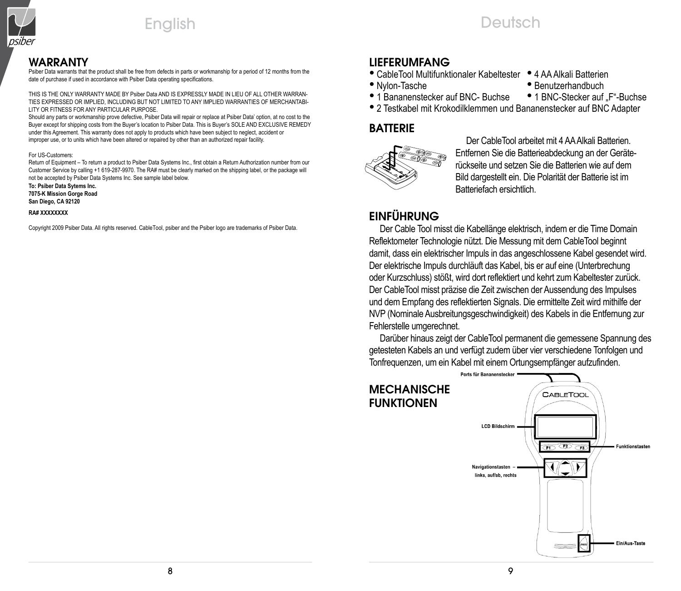

#### WaRRantY

Psiber Data warrants that the product shall be free from defects in parts or workmanship for a period of 12 months from the date of purchase if used in accordance with Psiber Data operating specifications.

THIS IS THE ONLY WARRANTY MADE BY Psiber Data AND IS EXPRESSLY MADE IN LIEU OF ALL OTHER WARRAN-TIES EXPRESSED OR IMPLIED, INCLUDING BUT NOT LIMITED TO ANY IMPLIED WARRANTIES OF MERCHANTABI-LITY OR FITNESS FOR ANY PARTICULAR PURPOSE.

Should any parts or workmanship prove defective, Psiber Data will repair or replace at Psiber Data' option, at no cost to the Buyer except for shipping costs from the Buyer's location to Psiber Data. This is Buyer's SOLE AND EXCLUSIVE REMEDY under this Agreement. This warranty does not apply to products which have been subject to neglect, accident or improper use, or to units which have been altered or repaired by other than an authorized repair facility.

#### For US-Customers:

Return of Equipment – To return a product to Psiber Data Systems Inc., first obtain a Return Authorization number from our Customer Service by calling +1 619-287-9970. The RA# must be clearly marked on the shipping label, or the package will not be accepted by Psiber Data Systems Inc. See sample label below.

**To: Psiber Data Sytems Inc. 7075-K Mission Gorge Road San Diego, CA 92120**

#### **RA# XXXXXXXX**

Copyright 2009 Psiber Data. All rights reserved. CableTool, psiber and the Psiber logo are trademarks of Psiber Data.

#### LIEFERUMFANG

- CableTool Multifunktionaler Kabeltester 4 AA Alkali Batterien
- 
- 
- $\bullet$  1 Bananenstecker auf BNC- Buchse
- Benutzerhandbuch<br>• 1 BNC-Stecker auf "F"-Buchse
- 2 Testkabel mit Krokodilklemmen und Bananenstecker auf BNC Adapter

Deutsch

#### BATTERIE



Der CableTool arbeitet mit 4 AA Alkali Batterien. Entfernen Sie die Batterieabdeckung an der Geräterückseite und setzen Sie die Batterien wie auf dem Bild dargestellt ein. Die Polarität der Batterie ist im Batteriefach ersichtlich.

# **FINFÜHRUNG**

Der Cable Tool misst die Kabellänge elektrisch, indem er die Time Domain Reflektometer Technologie nützt. Die Messung mit dem CableTool beginnt damit, dass ein elektrischer Impuls in das angeschlossene Kabel gesendet wird. Der elektrische Impuls durchläuft das Kabel, bis er auf eine (Unterbrechung oder Kurzschluss) stößt, wird dort reflektiert und kehrt zum Kabeltester zurück. Der CableTool misst präzise die Zeit zwischen der Aussendung des Impulses und dem Empfang des reflektierten Signals. Die ermittelte Zeit wird mithilfe der NVP (Nominale Ausbreitungsgeschwindigkeit) des Kabels in die Entfernung zur Fehlerstelle umgerechnet.

Darüber hinaus zeigt der CableTool permanent die gemessene Spannung des getesteten Kabels an und verfügt zudem über vier verschiedene Tonfolgen und Tonfrequenzen, um ein Kabel mit einem Ortungsempfänger aufzufinden.

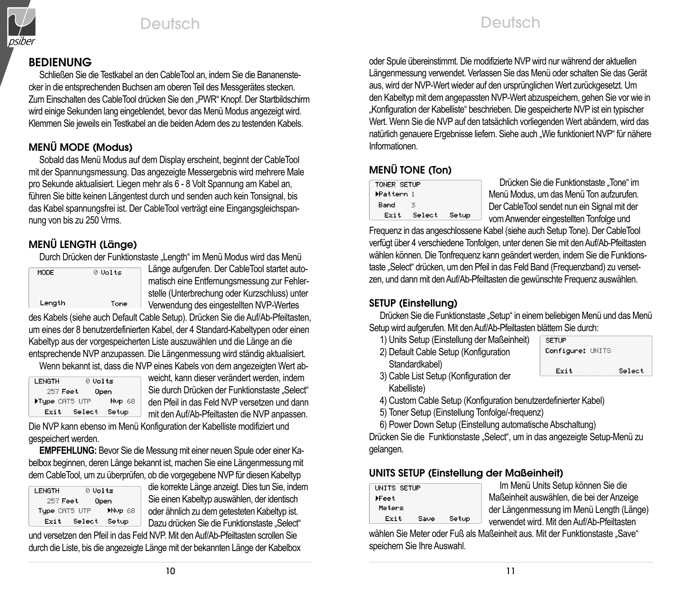

# Deutsch Deutsch

# BEDIENUNG

Schließen Sie die Testkabel an den CableTool an, indem Sie die Bananenstecker in die entsprechenden Buchsen am oberen Teil des Messgerätes stecken. Zum Einschalten des CableTool drücken Sie den "PWR" Knopf. Der Startbildschirm wird einige Sekunden lang eingeblendet, bevor das Menü Modus angezeigt wird. Klemmen Sie jeweils ein Testkabel an die beiden Adern des zu testenden Kabels.

# MENÜ MODE (Modus)

Sobald das Menü Modus auf dem Display erscheint, beginnt der CableTool mit der Spannungsmessung. Das angezeigte Messergebnis wird mehrere Male pro Sekunde aktualisiert. Liegen mehr als 6 - 8 Volt Spannung am Kabel an, führen Sie bitte keinen Längentest durch und senden auch kein Tonsignal, bis das Kabel spannungsfrei ist. Der CableTool verträgt eine Eingangsgleichspannung von bis zu 250 Vrms.

# MENÜ LENGTH (Länge)

Durch Drücken der Funktionstaste "Length" im Menü Modus wird das Menü

| MODE   | 0 Volts |
|--------|---------|
| Length | Tone    |

Länge aufgerufen. Der CableTool startet automatisch eine Entfernungsmessung zur Fehlerstelle (Unterbrechung oder Kurzschluss) unter Verwendung des eingestellten NVP-Wertes

des Kabels (siehe auch Default Cable Setup). Drücken Sie die Auf/Ab-Pfeiltasten, um eines der 8 benutzerdefinierten Kabel, der 4 Standard-Kabeltypen oder einen Kabeltyp aus der vorgespeicherten Liste auszuwählen und die Länge an die entsprechende NVP anzupassen. Die Längenmessung wird ständig aktualisiert.

Wenn bekannt ist, dass die NVP eines Kabels von dem angezeigten Wert ab-

| <b>LENGTH</b>  | 0 Volts |               |
|----------------|---------|---------------|
| 257 Feet       |         | Open          |
| Flype CRT5 UTP |         | <b>Nup 68</b> |
| Exit           | Select  | Setup         |

weicht, kann dieser verändert werden, indem Sie durch Drücken der Funktionstaste "Select" den Pfeil in das Feld NVP versetzen und dann mit den Auf/Ab-Pfeiltasten die NVP anpassen.

Die NVP kann ebenso im Menü Konfiguration der Kabelliste modifiziert und gespeichert werden.

**EMPFEHLUNG:** Bevor Sie die Messung mit einer neuen Spule oder einer Kabelbox beginnen, deren Länge bekannt ist, machen Sie eine Längenmessung mit dem CableTool, um zu überprüfen, ob die vorgegebene NVP für diesen Kabeltyp

| LENGTH           | 0 Volts |        |  |
|------------------|---------|--------|--|
| 257 Feet<br>0pen |         |        |  |
| Tupe CRT5 UTP    |         | Myp 68 |  |
| Exit             | Select  | Setup  |  |
|                  |         |        |  |

die korrekte Länge anzeigt. Dies tun Sie, indem Sie einen Kabeltyp auswählen, der identisch oder ähnlich zu dem getesteten Kabeltyp ist. Dazu drücken Sie die Funktionstaste "Select"

und versetzen den Pfeil in das Feld NVP. Mit den Auf/Ab-Pfeiltasten scrollen Sie durch die Liste, bis die angezeigte Länge mit der bekannten Länge der Kabelbox oder Spule übereinstimmt. Die modifizierte NVP wird nur während der aktuellen Längenmessung verwendet. Verlassen Sie das Menü oder schalten Sie das Gerät aus, wird der NVP-Wert wieder auf den ursprünglichen Wert zurückgesetzt. Um den Kabeltyp mit dem angepassten NVP-Wert abzuspeichern, gehen Sie vor wie in "Konfiguration der Kabelliste" beschrieben. Die gespeicherte NVP ist ein typischer Wert. Wenn Sie die NVP auf den tatsächlich vorliegenden Wert abändern, wird das natürlich genauere Ergebnisse liefern. Siehe auch "Wie funktioniert NVP" für nähere Informationen.

# MENÜ TONE (Ton)

| TONER SETUP |        |       |  |  |
|-------------|--------|-------|--|--|
| ▶Pattern 1  |        |       |  |  |
| Band        | Ŧ,     |       |  |  |
| Exit        | Select | Setup |  |  |
|             |        |       |  |  |

Drücken Sie die Funktionstaste "Tone" im Menü Modus, um das Menü Ton aufzurufen. Der CableTool sendet nun ein Signal mit der vom Anwender eingestellten Tonfolge und

Frequenz in das angeschlossene Kabel (siehe auch Setup Tone). Der CableTool verfügt über 4 verschiedene Tonfolgen, unter denen Sie mit den Auf/Ab-Pfeiltasten wählen können. Die Tonfrequenz kann geändert werden, indem Sie die Funktionstaste "Select" drücken, um den Pfeil in das Feld Band (Frequenzband) zu versetzen, und dann mit den Auf/Ab-Pfeiltasten die gewünschte Frequenz auswählen.

# SETUP (Einstellung)

Drücken Sie die Funktionstaste "Setup" in einem beliebigen Menü und das Menü Setup wird aufgerufen. Mit den Auf/Ab-Pfeiltasten blättern Sie durch:

- 1) Units Setup (Einstellung der Maßeinheit)
- 2) Default Cable Setup (Konfiguration Standardkabel)

**SETUP** Configure: UNITS Select Exit

3) Cable List Setup (Konfiguration der Kabelliste)

4) Custom Cable Setup (Konfiguration benutzerdefinierter Kabel)

5) Toner Setup (Einstellung Tonfolge/-frequenz)

6) Power Down Setup (Einstellung automatische Abschaltung)

Drücken Sie die Funktionstaste "Select", um in das angezeigte Setup-Menü zu gelangen.

# UNITS SETUP (Einstellung der Maßeinheit)

| UNITS SETUP |      |       | Im Menü Units Setup können Sie die         |
|-------------|------|-------|--------------------------------------------|
| ⊁Feet       |      |       | Maßeinheit auswählen, die bei der Anzeige  |
| Meters      |      |       | der Längenmessung im Menü Length (Länge)   |
| Exit        | Save | Setup | verwendet wird. Mit den Auf/Ab-Pfeiltasten |
|             |      |       |                                            |

wählen Sie Meter oder Fuß als Maßeinheit aus. Mit der Funktionstaste "Save" speichern Sie Ihre Auswahl.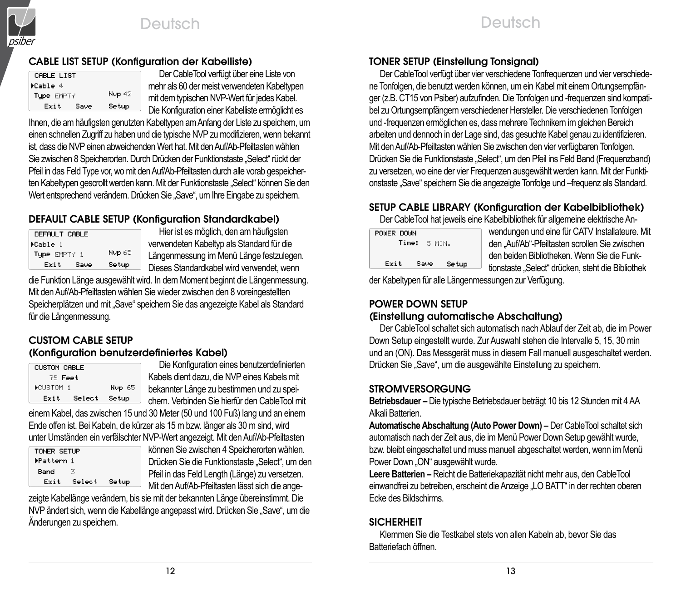

### CABLE LIST SETUP (Konfiguration der Kabelliste)

| CABLE LIST |      |        |  |  |
|------------|------|--------|--|--|
| >Cable 4   |      |        |  |  |
| Tupe EMPTY |      | Nup 42 |  |  |
| Exit       | Save | Setup  |  |  |

Der CableTool verfügt über eine Liste von mehr als 60 der meist verwendeten Kabeltypen mit dem typischen NVP-Wert für jedes Kabel. Die Konfiguration einer Kabelliste ermöglicht es

Ihnen, die am häufigsten genutzten Kabeltypen am Anfang der Liste zu speichern, um einen schnellen Zugriff zu haben und die typische NVP zu modifizieren, wenn bekannt ist, dass die NVP einen abweichenden Wert hat. Mit den Auf/Ab-Pfeiltasten wählen Sie zwischen 8 Speicherorten. Durch Drücken der Funktionstaste "Select" rückt der Pfeil in das Feld Type vor, wo mit den Auf/Ab-Pfeiltasten durch alle vorab gespeicherten Kabeltypen gescrollt werden kann. Mit der Funktionstaste "Select" können Sie den Wert entsprechend verändern. Drücken Sie "Save", um Ihre Eingabe zu speichern.

# DEFAULT CABLE SETUP (Konfiguration Standardkabel)

| DEFAULT CABLE |        |  |  |
|---------------|--------|--|--|
| >Cable i      |        |  |  |
| Tupe EMPTY 1  | Nup 65 |  |  |
| Exit<br>Save  | Setup  |  |  |

Hier ist es möglich, den am häufigsten verwendeten Kabeltyp als Standard für die Längenmessung im Menü Länge festzulegen. Dieses Standardkabel wird verwendet, wenn

die Funktion Länge ausgewählt wird. In dem Moment beginnt die Längenmessung. Mit den Auf/Ab-Pfeiltasten wählen Sie wieder zwischen den 8 voreingestellten Speicherplätzen und mit "Save" speichern Sie das angezeigte Kabel als Standard für die Längenmessung.

#### CUSTOM CABLE SETUP (Konfiguration benutzerdefiniertes Kabel)

| <b>CUSTOM CABLE</b> |        |        |
|---------------------|--------|--------|
| 75 Feet             |        |        |
| DCUSTOM 1           |        | Nup 65 |
| Exit                | Select | Setup  |

Die Konfiguration eines benutzerdefinierten Kabels dient dazu, die NVP eines Kabels mit bekannter Länge zu bestimmen und zu speichern. Verbinden Sie hierfür den CableTool mit

einem Kabel, das zwischen 15 und 30 Meter (50 und 100 Fuß) lang und an einem Ende offen ist. Bei Kabeln, die kürzer als 15 m bzw. länger als 30 m sind, wird unter Umständen ein verfälschter NVP-Wert angezeigt. Mit den Auf/Ab-Pfeiltasten

| TONER SETUP<br>▶Pattern 1 |        |       |
|---------------------------|--------|-------|
| Band                      | 3      |       |
| Exit                      | Select | Setup |

können Sie zwischen 4 Speicherorten wählen. Drücken Sie die Funktionstaste "Select", um den Pfeil in das Feld Length (Länge) zu versetzen. Mit den Auf/Ab-Pfeiltasten lässt sich die ange-

zeigte Kabellänge verändern, bis sie mit der bekannten Länge übereinstimmt. Die NVP ändert sich, wenn die Kabellänge angepasst wird. Drücken Sie "Save", um die Änderungen zu speichern.

### TONER SETUP (Einstellung Tonsignal)

Der CableTool verfügt über vier verschiedene Tonfrequenzen und vier verschiedene Tonfolgen, die benutzt werden können, um ein Kabel mit einem Ortungsempfänger (z.B. CT15 von Psiber) aufzufinden. Die Tonfolgen und -frequenzen sind kompatibel zu Ortungsempfängern verschiedener Hersteller. Die verschiedenen Tonfolgen und -frequenzen ermöglichen es, dass mehrere Technikern im gleichen Bereich arbeiten und dennoch in der Lage sind, das gesuchte Kabel genau zu identifizieren. Mit den Auf/Ab-Pfeiltasten wählen Sie zwischen den vier verfügbaren Tonfolgen. Drücken Sie die Funktionstaste "Select", um den Pfeil ins Feld Band (Frequenzband) zu versetzen, wo eine der vier Frequenzen ausgewählt werden kann. Mit der Funktionstaste "Save" speichern Sie die angezeigte Tonfolge und –frequenz als Standard.

#### SETUP CABLE LIBRARY (Konfiguration der Kabelbibliothek) Der CableTool hat jeweils eine Kabelbibliothek für allgemeine elektrische An-

|            |       |      |         | <b>DUI OUDIU IUUI IIUI JUNUIIU</b> |
|------------|-------|------|---------|------------------------------------|
| POWER DOWN |       |      |         |                                    |
|            | Time: |      | -5 MTN. |                                    |
| Exit       |       | Saue |         | Setup                              |
|            |       |      |         |                                    |

wendungen und eine für CATV Installateure. Mit den "Auf/Ab"-Pfeiltasten scrollen Sie zwischen den beiden Bibliotheken. Wenn Sie die Funktionstaste "Select" drücken, steht die Bibliothek

der Kabeltypen für alle Längenmessungen zur Verfügung.

#### POWER DOWN SETUP (Einstellung automatische Abschaltung)

Der CableTool schaltet sich automatisch nach Ablauf der Zeit ab, die im Power Down Setup eingestellt wurde. Zur Auswahl stehen die Intervalle 5, 15, 30 min und an (ON). Das Messgerät muss in diesem Fall manuell ausgeschaltet werden. Drücken Sie "Save", um die ausgewählte Einstellung zu speichern.

### STROMVERSORGUNG

**Betriebsdauer –** Die typische Betriebsdauer beträgt 10 bis 12 Stunden mit 4 AA Alkali Batterien.

**Automatische Abschaltung (Auto Power Down) –** Der CableTool schaltet sich automatisch nach der Zeit aus, die im Menü Power Down Setup gewählt wurde, bzw. bleibt eingeschaltet und muss manuell abgeschaltet werden, wenn im Menü Power Down "ON" ausgewählt wurde.

**Leere Batterien –** Reicht die Batteriekapazität nicht mehr aus, den CableTool einwandfrei zu betreiben, erscheint die Anzeige "LO BATT" in der rechten oberen Ecke des Bildschirms.

## **SICHERHEIT**

Klemmen Sie die Testkabel stets von allen Kabeln ab, bevor Sie das Batteriefach öffnen.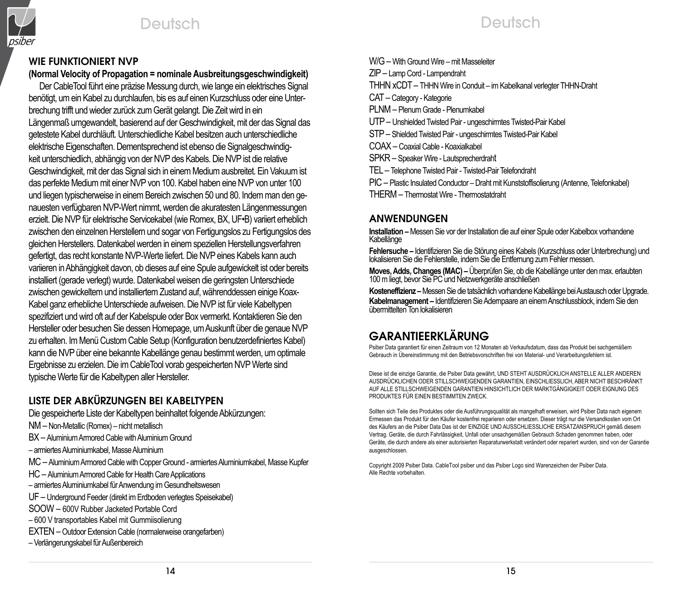



# Deutsch

#### Wie funktioniert NVP

## **(Normal Velocity of Propagation = nominale Ausbreitungsgeschwindigkeit)**

Der CableTool führt eine präzise Messung durch, wie lange ein elektrisches Signal benötigt, um ein Kabel zu durchlaufen, bis es auf einen Kurzschluss oder eine Unterbrechung trifft und wieder zurück zum Gerät gelangt. Die Zeit wird in ein Längenmaß umgewandelt, basierend auf der Geschwindigkeit, mit der das Signal das getestete Kabel durchläuft. Unterschiedliche Kabel besitzen auch unterschiedliche elektrische Eigenschaften. Dementsprechend ist ebenso die Signalgeschwindigkeit unterschiedlich, abhängig von der NVP des Kabels. Die NVP ist die relative Geschwindigkeit, mit der das Signal sich in einem Medium ausbreitet. Ein Vakuum ist das perfekte Medium mit einer NVP von 100. Kabel haben eine NVP von unter 100 und liegen typischerweise in einem Bereich zwischen 50 und 80. Indem man den genauesten verfügbaren NVP-Wert nimmt, werden die akuratesten Längenmessungen erzielt. Die NVP für elektrische Servicekabel (wie Romex, BX, UF•B) variiert erheblich zwischen den einzelnen Herstellern und sogar von Fertigungslos zu Fertigungslos des gleichen Herstellers. Datenkabel werden in einem speziellen Herstellungsverfahren gefertigt, das recht konstante NVP-Werte liefert. Die NVP eines Kabels kann auch variieren in Abhängigkeit davon, ob dieses auf eine Spule aufgewickelt ist oder bereits installiert (gerade verlegt) wurde. Datenkabel weisen die geringsten Unterschiede zwischen gewickeltem und installiertem Zustand auf, währenddessen einige Koax-Kabel ganz erhebliche Unterschiede aufweisen. Die NVP ist für viele Kabeltypen spezifiziert und wird oft auf der Kabelspule oder Box vermerkt. Kontaktieren Sie den Hersteller oder besuchen Sie dessen Homepage, um Auskunft über die genaue NVP zu erhalten. Im Menü Custom Cable Setup (Konfiguration benutzerdefiniertes Kabel) kann die NVP über eine bekannte Kabellänge genau bestimmt werden, um optimale Ergebnisse zu erzielen. Die im CableTool vorab gespeicherten NVP Werte sind typische Werte für die Kabeltypen aller Hersteller.

# LISTE DER ABKÜRZUNGEN BEI KABELTYPEN

Die gespeicherte Liste der Kabeltypen beinhaltet folgende Abkürzungen:

- NM Non-Metallic (Romex) nicht metallisch
- BX Aluminium Armored Cable with Aluminium Ground
- armiertes Aluminiumkabel, Masse Aluminium
- MC Aluminium Armored Cable with Copper Ground armiertes Aluminiumkabel, Masse Kupfer
- HC Aluminium Armored Cable for Health Care Applications
- armiertes Aluminiumkabel für Anwendung im Gesundheitswesen
- UF Underground Feeder (direkt im Erdboden verlegtes Speisekabel)
- SOOW 600V Rubber Jacketed Portable Cord
- 600 V transportables Kabel mit Gummiisolierung
- EXTEN Outdoor Extension Cable (normalerweise orangefarben)
- Verlängerungskabel für Außenbereich

W/G – With Ground Wire – mit Masseleiter ZIP– Lamp Cord - Lampendraht THHN xCDT – THHN Wire in Conduit – im Kabelkanal verlegter THHN-Draht CAT – Category - Kategorie PLNM – Plenum Grade - Plenumkabel UTP– Unshielded Twisted Pair - ungeschirmtes Twisted-Pair Kabel STP– Shielded Twisted Pair - ungeschirmtes Twisted-Pair Kabel COAX – Coaxial Cable - Koaxialkabel SPKR – Speaker Wire - Lautsprecherdraht TEL – Telephone Twisted Pair - Twisted-Pair Telefondraht PIC – Plastic Insulated Conductor – Draht mit Kunststoffisolierung (Antenne, Telefonkabel) THERM – Thermostat Wire - Thermostatdraht

### **ANWENDUNGEN**

**Installation –** Messen Sie vor der Installation die auf einer Spule oder Kabelbox vorhandene Kabellänge

**Fehlersuche –** Identifizieren Sie die Störung eines Kabels (Kurzschluss oder Unterbrechung) und lokalisieren Sie die Fehlerstelle, indem Sie die Entfernung zum Fehler messen.

**Moves, Adds, Changes (MAC) –** Uberprüfen Sie, ob die Kabellänge unter den max. erlaubten<br>100 m liegt, bevor Sie PC und Netzwerkgeräte anschließen

**Kosteneffizienz –** Messen Sie die tatsächlich vorhandene Kabellänge bei Austausch oder Upgrade. **Kabelmanagement –** Identifizieren Sie Adernpaare an einem Anschlussblock, indem Sie den übermittelten Ton lokalisieren

# GaRantIEERklÄRUnG

Psiber Data garantiert für einen Zeitraum von 12 Monaten ab Verkaufsdatum, dass das Produkt bei sachgemäßem Gebrauch in Übereinstimmung mit den Betriebsvorschriften frei von Material- und Verarbeitungsfehlern ist.

Diese ist die einzige Garantie, die Psiber Data gewährt, UND STEHT AUSDRÜCKLICH ANSTELLE ALLER ANDEREN AUSDRÜCKLICHEN ODER STILLSCHWEIGENDEN GARANTIEN, EINSCHLIESSLICH, ABER NICHT BESCHRÄNKT AUF ALLE STILLSCHWEIGENDEN GARANTIEN HINSICHTLICH DER MARKTGÄNGIGKEIT ODER EIGNUNG DES PRODUKTES FÜR EINEN BESTIMMTEN ZWECK.

Sollten sich Teile des Produktes oder die Ausführungsqualität als mangelhaft erweisen, wird Psiber Data nach eigenem Ermessen das Produkt für den Käufer kostenfrei reparieren oder ersetzen. Dieser trägt nur die Versandkosten vom Ort des Käufers an die Psiber Data Das ist der EINZIGE UND AUSSCHLIESSLICHE ERSATZANSPRUCH gemäß diesem Vertrag. Geräte, die durch Fahrlässigkeit, Unfall oder unsachgemäßen Gebrauch Schaden genommen haben, oder Geräte, die durch andere als einer autorisierten Reparaturwerkstatt verändert oder repariert wurden, sind von der Garantie ausgeschlossen.

Copyright 2009 Psiber Data. CableTool psiber und das Psiber Logo sind Warenzeichen der Psiber Data. Alle Rechte vorbehalten.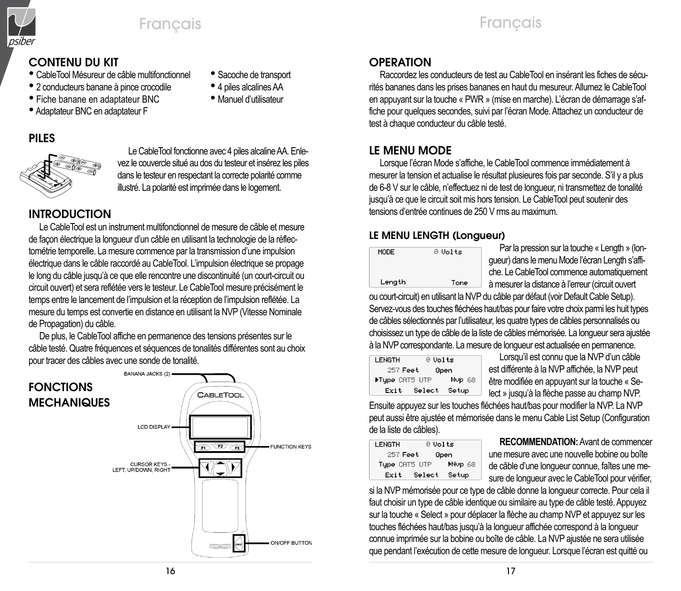

# Français Français

# CONTENU DU KIT

- CableTool Mésureur de câble multifonctionnel Sacoche de transport
- 2 conducteurs banane à pince crocodile 4 piles alcalines AA
- Fiche banane en adaptateur BNC Manuel d'utilisateur
- Adaptateur BNC en adaptateur F
- PILES



Le CableTool fonctionne avec 4 piles alcaline AA. Enlevez le couvercle situé au dos du testeur et insérez les piles dans le testeur en respectant la correcte polarité comme illustré. La polarité est imprimée dans le logement.

# INTRODUCTION

Le CableTool est un instrument multifonctionnel de mesure de câble et mesure de façon électrique la longueur d'un câble en utilisant la technologie de la réflectométrie temporelle. La mesure commence par la transmission d'une impulsion électrique dans le câble raccordé au CableTool. L'impulsion électrique se propage le long du câble jusqu'à ce que elle rencontre une discontinuité (un court-circuit ou circuit ouvert) et sera reflétée vers le testeur. Le CableTool mesure précisément le temps entre le lancement de l'impulsion et la réception de l'impulsion reflétée. La mesure du temps est convertie en distance en utilisant la NVP (Vitesse Nominale de Propagation) du câble.

De plus, le CableTool affiche en permanence des tensions présentes sur le câble testé. Quatre fréquences et séquences de tonalités différentes sont au choix pour tracer des câbles avec une sonde de tonalité.



# **OPERATION**

Raccordez les conducteurs de test au CableTool en insérant les fiches de sécurités bananes dans les prises bananes en haut du mesureur. Allumez le CableTool en appuyant sur la touche « PWR » (mise en marche). L'écran de démarrage s'affiche pour quelques secondes, suivi par l'écran Mode. Attachez un conducteur de test à chaque conducteur du câble testé.

# LE MENU MODE

Lorsque l'écran Mode s'affiche, le CableTool commence immédiatement à mesurer la tension et actualise le résultat plusieures fois par seconde. S'il y a plus de 6-8 V sur le câble, n'effectuez ni de test de longueur, ni transmettez de tonalité jusqu'à ce que le circuit soit mis hors tension. Le CableTool peut soutenir des tensions d'entrée continues de 250 V rms au maximum.

# LE MENU LENGTH (Longueur)

| MODE   | 0 Volts |
|--------|---------|
| Length | Tone    |

Par la pression sur la touche « Length » (longueur) dans le menu Mode l'écran Length s'affiche. Le CableTool commence automatiquement à mesurer la distance à l'erreur (circuit ouvert

ou court-circuit) en utilisant la NVP du câble par défaut (voir Default Cable Setup). Servez-vous des touches fléchées haut/bas pour faire votre choix parmi les huit types de câbles sélectionnés par l'utilisateur, les quatre types de câbles personnalisés ou choisissez un type de câble de la liste de câbles mémorisée. La longueur sera ajustée à la NVP correspondante. La mesure de longueur est actualisée en permanence.

| LENGTH           | 0 Volts |        |
|------------------|---------|--------|
| 257 Feet<br>Open |         |        |
| Flupe CATS UTP   |         | Nup 68 |
| Exit             | Select  | Setup  |
|                  |         |        |

Lorsqu'il est connu que la NVP d'un câble est différente à la NVP affichée, la NVP peut être modifiée en appuyant sur la touche « Select » jusqu'à la flèche passe au champ NVP.

Ensuite appuyez sur les touches fléchées haut/bas pour modifier la NVP. La NVP peut aussi être ajustée et mémorisée dans le menu Cable List Setup (Configuration de la liste de câbles).

| LENGTH        | 0 Volts |        |
|---------------|---------|--------|
| 257 Feet      |         | Open   |
| Type CRT5 UTP |         | Mup 68 |
| Exit          | Select  | Setup  |
|               |         |        |

**RECOMMENDATION:** Avant de commencer une mesure avec une nouvelle bobine ou boîte de câble d'une longueur connue, faîtes une mesure de longueur avec le CableTool pour vérifier.

si la NVP mémorisée pour ce type de câble donne la longueur correcte. Pour cela il faut choisir un type de câble identique ou similaire au type de câble testé. Appuyez sur la touche « Select » pour déplacer la flèche au champ NVP et appuyez sur les touches fléchées haut/bas jusqu'à la longueur affichée correspond à la longueur connue imprimée sur la bobine ou boîte de câble. La NVP ajustée ne sera utilisée que pendant l'exécution de cette mesure de longueur. Lorsque l'écran est quitté ou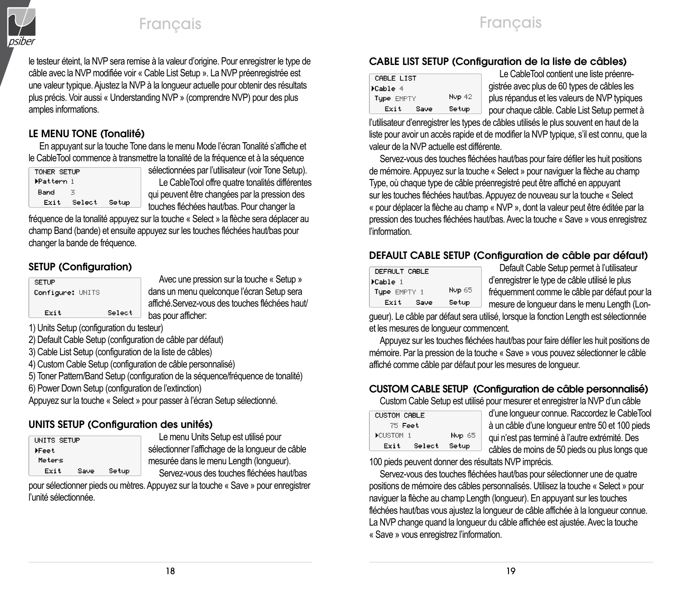

# Français Français

le testeur éteint, la NVP sera remise à la valeur d'origine. Pour enregistrer le type de câble avec la NVP modifiée voir « Cable List Setup ». La NVP préenregistrée est une valeur typique. Ajustez la NVP à la longueur actuelle pour obtenir des résultats plus précis. Voir aussi « Understanding NVP » (comprendre NVP) pour des plus amples informations.

# LE MENU TONE (Tonalité)

En appuyant sur la touche Tone dans le menu Mode l'écran Tonalité s'affiche et le CableTool commence à transmettre la tonalité de la fréquence et à la séquence

| TONER SETUP |        |       | sélectio |
|-------------|--------|-------|----------|
| ▶Pattern 1  |        |       | Le (     |
| Band        | 苦      |       | qui peu  |
| Exit        | Select | Setup | touche:  |

onnées par l'utilisateur (voir Tone Setup). CableTool offre quatre tonalités différentes vent être changées par la pression des s fléchées haut/bas. Pour changer la

fréquence de la tonalité appuyez sur la touche « Select » la flèche sera déplacer au champ Band (bande) et ensuite appuyez sur les touches fléchées haut/bas pour changer la bande de fréquence.

# SETUP (Configuration)

| <b>SETUP</b>     |        |  |
|------------------|--------|--|
| Configure: UNITS |        |  |
|                  |        |  |
| Exit             | Select |  |
|                  |        |  |

Avec une pression sur la touche « Setup » dans un menu quelconque l'écran Setup sera affiché.Servez-vous des touches fléchées haut/ bas pour afficher:

1) Units Setup (configuration du testeur)

2) Default Cable Setup (configuration de câble par défaut)

3) Cable List Setup (configuration de la liste de câbles)

4) Custom Cable Setup (configuration de câble personnalisé)

5) Toner Pattern/Band Setup (configuration de la séquence/fréquence de tonalité)

6) Power Down Setup (configuration de l'extinction)

Appuyez sur la touche « Select » pour passer à l'écran Setup sélectionné.

# UNITS SETUP (Configuration des unités)

| UNITS SETUP |      |       |
|-------------|------|-------|
| ⊁Feet       |      |       |
| Meters      |      |       |
| Exit        | Save | Setup |

Le menu Units Setup est utilisé pour sélectionner l'affichage de la longueur de câble mesurée dans le menu Length (longueur). Servez-vous des touches fléchées haut/bas

pour sélectionner pieds ou mètres. Appuyez sur la touche « Save » pour enregistrer l'unité sélectionnée.

# CABLE LIST SETUP (Configuration de la liste de câbles)

| CABLE LIST   |        |     |
|--------------|--------|-----|
| ≯Cable 4     |        | gis |
| Tupe EMPTY   | Nup 42 | plu |
| Exit<br>Save | Setup  | рo  |

Le CableTool contient une liste préenrestrée avec plus de 60 types de câbles les is répandus et les valeurs de NVP typiques ur chaque câble. Cable List Setup permet à

l'utilisateur d'enregistrer les types de câbles utilisés le plus souvent en haut de la liste pour avoir un accès rapide et de modifier la NVP typique, s'il est connu, que la valeur de la NVP actuelle est différente.

Servez-vous des touches fléchées haut/bas pour faire défiler les huit positions de mémoire. Appuyez sur la touche « Select » pour naviguer la flèche au champ Type, où chaque type de câble préenregistré peut être affiché en appuyant sur les touches fléchées haut/bas. Appuyez de nouveau sur la touche « Select « pour déplacer la flèche au champ « NVP », dont la valeur peut être éditée par la pression des touches fléchées haut/bas. Avec la touche « Save » vous enregistrez l'information.

# DEFAULT CABLE SETUP (Configuration de câble par défaut)

| DEFAULT CABLE |        | Default Cable Setup permet à l'utilisateur     |
|---------------|--------|------------------------------------------------|
| >Cable 1      |        | d'enregistrer le type de câble utilisé le plus |
| Tupe EMPTY 1  | Nup 65 | fréquemment comme le câble par défaut pour la  |
| Exit<br>Save  | Setup  | mesure de longueur dans le menu Length (Lon-   |

gueur). Le câble par défaut sera utilisé, lorsque la fonction Length est sélectionnée et les mesures de longueur commencent.

Appuyez sur les touches fléchées haut/bas pour faire défiler les huit positions de mémoire. Par la pression de la touche « Save » vous pouvez sélectionner le câble affiché comme câble par défaut pour les mesures de longueur.

# CUSTOM CABLE SETUP (Configuration de câble personnalisé)

Custom Cable Setup est utilisé pour mesurer et enregistrer la NVP d'un câble

| <b>CUSTOM CABLE</b> |        |        |
|---------------------|--------|--------|
| 75 Feet             |        |        |
| <b>CLISTOM 1</b>    |        | Nyp 65 |
| Exit                | Select | Setup  |
|                     |        |        |

d'une longueur connue. Raccordez le CableTool à un câble d'une longueur entre 50 et 100 pieds qui n'est pas terminé à l'autre extrémité. Des câbles de moins de 50 pieds ou plus longs que

100 pieds peuvent donner des résultats NVP imprécis.

Servez-vous des touches fléchées haut/bas pour sélectionner une de quatre positions de mémoire des câbles personnalisés. Utilisez la touche « Select » pour naviguer la flèche au champ Length (longueur). En appuyant sur les touches fléchées haut/bas vous ajustez la longueur de câble affichée à la longueur connue. La NVP change quand la longueur du câble affichée est ajustée. Avec la touche « Save » vous enregistrez l'information.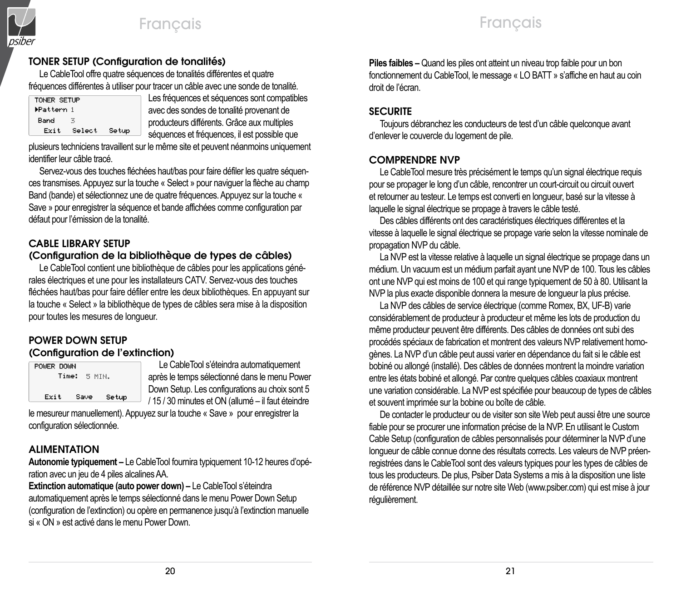

## TONER SETUP (Configuration de tonalités)

Le CableTool offre quatre séquences de tonalités différentes et quatre fréquences différentes à utiliser pour tracer un câble avec une sonde de tonalité.

| TONER SETUP |        |       |  |
|-------------|--------|-------|--|
| ▶Pattern 1  |        |       |  |
| Band        | ×,     |       |  |
| Exit        | Select | Setup |  |

Les fréquences et séquences sont compatibles avec des sondes de tonalité provenant de producteurs différents. Grâce aux multiples séquences et fréquences, il est possible que

plusieurs techniciens travaillent sur le même site et peuvent néanmoins uniquement identifier leur câble tracé.

Servez-vous des touches fléchées haut/bas pour faire défiler les quatre séquences transmises. Appuyez sur la touche « Select » pour naviguer la flèche au champ Band (bande) et sélectionnez une de quatre fréquences. Appuyez sur la touche « Save » pour enregistrer la séquence et bande affichées comme configuration par défaut pour l'émission de la tonalité.

# CABLE LIBRARY SETUP

### (Configuration de la bibliothèque de types de câbles)

Le CableTool contient une bibliothèque de câbles pour les applications générales électriques et une pour les installateurs CATV. Servez-vous des touches fléchées haut/bas pour faire défiler entre les deux bibliothèques. En appuyant sur la touche « Select » la bibliothèque de types de câbles sera mise à la disposition pour toutes les mesures de longueur.

#### POWER DOWN SETUP (Configuration de l'extinction)

| POWER DOWN<br>Time: 5 MTN. |      |       |  |
|----------------------------|------|-------|--|
| Exit                       | Saue | Setup |  |

Le CableTool s'éteindra automatiquement après le temps sélectionné dans le menu Power Down Setup. Les configurations au choix sont 5  $\rightarrow$  / 15/30 minutes et ON (allumé – il faut éteindre

le mesureur manuellement). Appuyez sur la touche « Save » pour enregistrer la configuration sélectionnée.

### ALIMENTATION

**Autonomie typiquement –** Le CableTool fournira typiquement 10-12 heures d'opération avec un jeu de 4 piles alcalines AA.

**Extinction automatique (auto power down) –** Le CableTool s'éteindra automatiquement après le temps sélectionné dans le menu Power Down Setup (configuration de l'extinction) ou opère en permanence jusqu'à l'extinction manuelle si « ON » est activé dans le menu Power Down.

**Piles faibles –** Quand les piles ont atteint un niveau trop faible pour un bon fonctionnement du CableTool, le message « LO BATT » s'affiche en haut au coin droit de l'écran.

### **SECURITE**

Toujours débranchez les conducteurs de test d'un câble quelconque avant d'enlever le couvercle du logement de pile.

### COMPRENDRE NVP

Le CableTool mesure très précisément le temps qu'un signal électrique requis pour se propager le long d'un câble, rencontrer un court-circuit ou circuit ouvert et retourner au testeur. Le temps est converti en longueur, basé sur la vitesse à laquelle le signal électrique se propage à travers le câble testé.

Des câbles différents ont des caractéristiques électriques différentes et la vitesse à laquelle le signal électrique se propage varie selon la vitesse nominale de propagation NVP du câble.

La NVP est la vitesse relative à laquelle un signal électrique se propage dans un médium. Un vacuum est un médium parfait ayant une NVP de 100. Tous les câbles ont une NVP qui est moins de 100 et qui range typiquement de 50 à 80. Utilisant la NVP la plus exacte disponible donnera la mesure de longueur la plus précise.

La NVP des câbles de service électrique (comme Romex, BX, UF-B) varie considérablement de producteur à producteur et même les lots de production du même producteur peuvent être différents. Des câbles de données ont subi des procédés spéciaux de fabrication et montrent des valeurs NVP relativement homogènes. La NVP d'un câble peut aussi varier en dépendance du fait si le câble est bobiné ou allongé (installé). Des câbles de données montrent la moindre variation entre les états bobiné et allongé. Par contre quelques câbles coaxiaux montrent une variation considérable. La NVP est spécifiée pour beaucoup de types de câbles et souvent imprimée sur la bobine ou boîte de câble.

De contacter le producteur ou de visiter son site Web peut aussi être une source fiable pour se procurer une information précise de la NVP. En utilisant le Custom Cable Setup (configuration de câbles personnalisés pour déterminer la NVP d'une longueur de câble connue donne des résultats corrects. Les valeurs de NVP préenregistrées dans le CableTool sont des valeurs typiques pour les types de câbles de tous les producteurs. De plus, Psiber Data Systems a mis à la disposition une liste de référence NVP détaillée sur notre site Web (www.psiber.com) qui est mise à jour régulièrement.